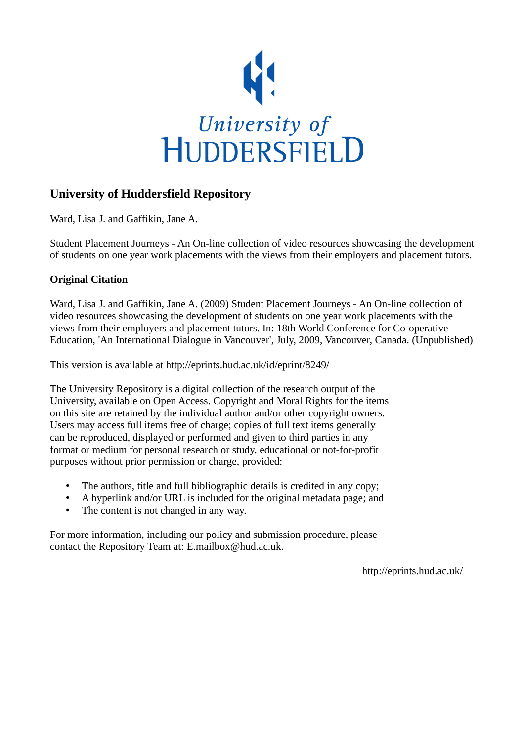

## **University of Huddersfield Repository**

Ward, Lisa J. and Gaffikin, Jane A.

Student Placement Journeys - An On-line collection of video resources showcasing the development of students on one year work placements with the views from their employers and placement tutors.

### **Original Citation**

Ward, Lisa J. and Gaffikin, Jane A. (2009) Student Placement Journeys - An On-line collection of video resources showcasing the development of students on one year work placements with the views from their employers and placement tutors. In: 18th World Conference for Co-operative Education, 'An International Dialogue in Vancouver', July, 2009, Vancouver, Canada. (Unpublished)

This version is available at http://eprints.hud.ac.uk/id/eprint/8249/

The University Repository is a digital collection of the research output of the University, available on Open Access. Copyright and Moral Rights for the items on this site are retained by the individual author and/or other copyright owners. Users may access full items free of charge; copies of full text items generally can be reproduced, displayed or performed and given to third parties in any format or medium for personal research or study, educational or not-for-profit purposes without prior permission or charge, provided:

- The authors, title and full bibliographic details is credited in any copy;
- A hyperlink and/or URL is included for the original metadata page; and
- The content is not changed in any way.

For more information, including our policy and submission procedure, please contact the Repository Team at: E.mailbox@hud.ac.uk.

http://eprints.hud.ac.uk/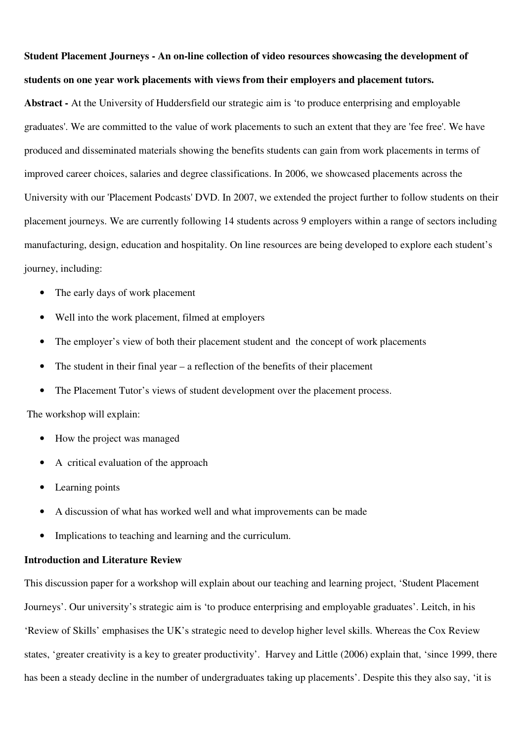# **Student Placement Journeys - An on-line collection of video resources showcasing the development of students on one year work placements with views from their employers and placement tutors.**

**Abstract -** At the University of Huddersfield our strategic aim is 'to produce enterprising and employable graduates'. We are committed to the value of work placements to such an extent that they are 'fee free'. We have produced and disseminated materials showing the benefits students can gain from work placements in terms of improved career choices, salaries and degree classifications. In 2006, we showcased placements across the University with our 'Placement Podcasts' DVD. In 2007, we extended the project further to follow students on their placement journeys. We are currently following 14 students across 9 employers within a range of sectors including manufacturing, design, education and hospitality. On line resources are being developed to explore each student's journey, including:

- The early days of work placement
- Well into the work placement, filmed at employers
- The employer's view of both their placement student and the concept of work placements
- The student in their final year a reflection of the benefits of their placement
- The Placement Tutor's views of student development over the placement process.

The workshop will explain:

- How the project was managed
- A critical evaluation of the approach
- Learning points
- A discussion of what has worked well and what improvements can be made
- Implications to teaching and learning and the curriculum.

#### **Introduction and Literature Review**

This discussion paper for a workshop will explain about our teaching and learning project, 'Student Placement Journeys'. Our university's strategic aim is 'to produce enterprising and employable graduates'. Leitch, in his 'Review of Skills' emphasises the UK's strategic need to develop higher level skills. Whereas the Cox Review states, 'greater creativity is a key to greater productivity'. Harvey and Little (2006) explain that, 'since 1999, there has been a steady decline in the number of undergraduates taking up placements'. Despite this they also say, 'it is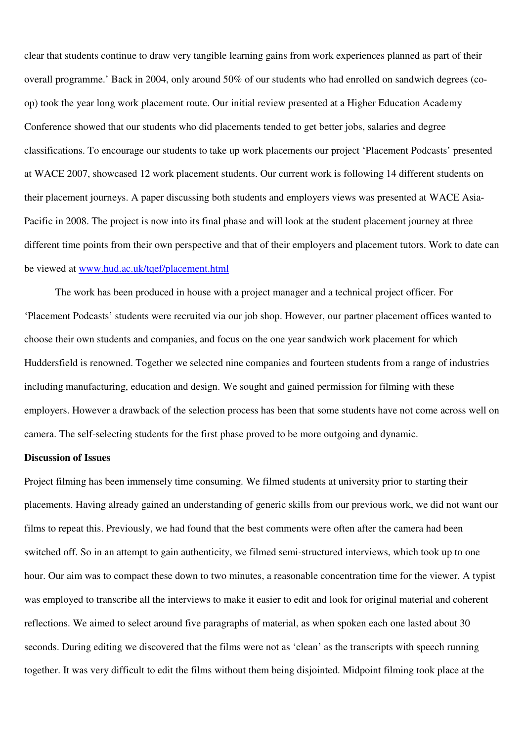clear that students continue to draw very tangible learning gains from work experiences planned as part of their overall programme.' Back in 2004, only around 50% of our students who had enrolled on sandwich degrees (coop) took the year long work placement route. Our initial review presented at a Higher Education Academy Conference showed that our students who did placements tended to get better jobs, salaries and degree classifications. To encourage our students to take up work placements our project 'Placement Podcasts' presented at WACE 2007, showcased 12 work placement students. Our current work is following 14 different students on their placement journeys. A paper discussing both students and employers views was presented at WACE Asia-Pacific in 2008. The project is now into its final phase and will look at the student placement journey at three different time points from their own perspective and that of their employers and placement tutors. Work to date can be viewed at www.hud.ac.uk/tqef/placement.html

The work has been produced in house with a project manager and a technical project officer. For 'Placement Podcasts' students were recruited via our job shop. However, our partner placement offices wanted to choose their own students and companies, and focus on the one year sandwich work placement for which Huddersfield is renowned. Together we selected nine companies and fourteen students from a range of industries including manufacturing, education and design. We sought and gained permission for filming with these employers. However a drawback of the selection process has been that some students have not come across well on camera. The self-selecting students for the first phase proved to be more outgoing and dynamic.

#### **Discussion of Issues**

Project filming has been immensely time consuming. We filmed students at university prior to starting their placements. Having already gained an understanding of generic skills from our previous work, we did not want our films to repeat this. Previously, we had found that the best comments were often after the camera had been switched off. So in an attempt to gain authenticity, we filmed semi-structured interviews, which took up to one hour. Our aim was to compact these down to two minutes, a reasonable concentration time for the viewer. A typist was employed to transcribe all the interviews to make it easier to edit and look for original material and coherent reflections. We aimed to select around five paragraphs of material, as when spoken each one lasted about 30 seconds. During editing we discovered that the films were not as 'clean' as the transcripts with speech running together. It was very difficult to edit the films without them being disjointed. Midpoint filming took place at the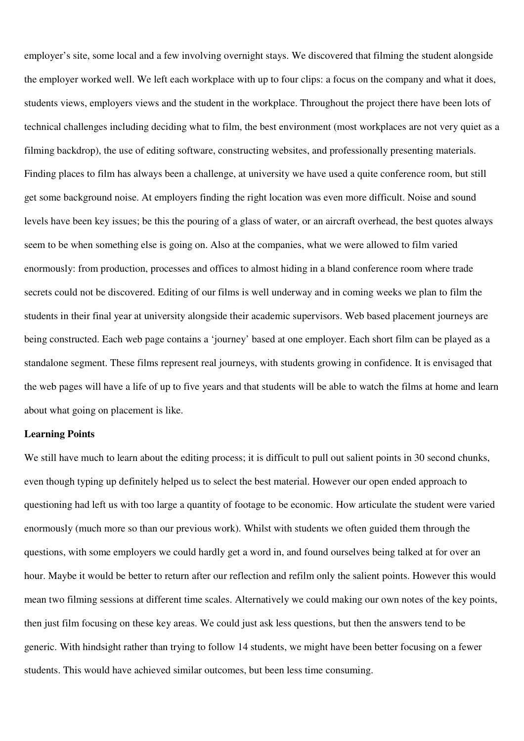employer's site, some local and a few involving overnight stays. We discovered that filming the student alongside the employer worked well. We left each workplace with up to four clips: a focus on the company and what it does, students views, employers views and the student in the workplace. Throughout the project there have been lots of technical challenges including deciding what to film, the best environment (most workplaces are not very quiet as a filming backdrop), the use of editing software, constructing websites, and professionally presenting materials. Finding places to film has always been a challenge, at university we have used a quite conference room, but still get some background noise. At employers finding the right location was even more difficult. Noise and sound levels have been key issues; be this the pouring of a glass of water, or an aircraft overhead, the best quotes always seem to be when something else is going on. Also at the companies, what we were allowed to film varied enormously: from production, processes and offices to almost hiding in a bland conference room where trade secrets could not be discovered. Editing of our films is well underway and in coming weeks we plan to film the students in their final year at university alongside their academic supervisors. Web based placement journeys are being constructed. Each web page contains a 'journey' based at one employer. Each short film can be played as a standalone segment. These films represent real journeys, with students growing in confidence. It is envisaged that the web pages will have a life of up to five years and that students will be able to watch the films at home and learn about what going on placement is like.

#### **Learning Points**

We still have much to learn about the editing process; it is difficult to pull out salient points in 30 second chunks, even though typing up definitely helped us to select the best material. However our open ended approach to questioning had left us with too large a quantity of footage to be economic. How articulate the student were varied enormously (much more so than our previous work). Whilst with students we often guided them through the questions, with some employers we could hardly get a word in, and found ourselves being talked at for over an hour. Maybe it would be better to return after our reflection and refilm only the salient points. However this would mean two filming sessions at different time scales. Alternatively we could making our own notes of the key points, then just film focusing on these key areas. We could just ask less questions, but then the answers tend to be generic. With hindsight rather than trying to follow 14 students, we might have been better focusing on a fewer students. This would have achieved similar outcomes, but been less time consuming.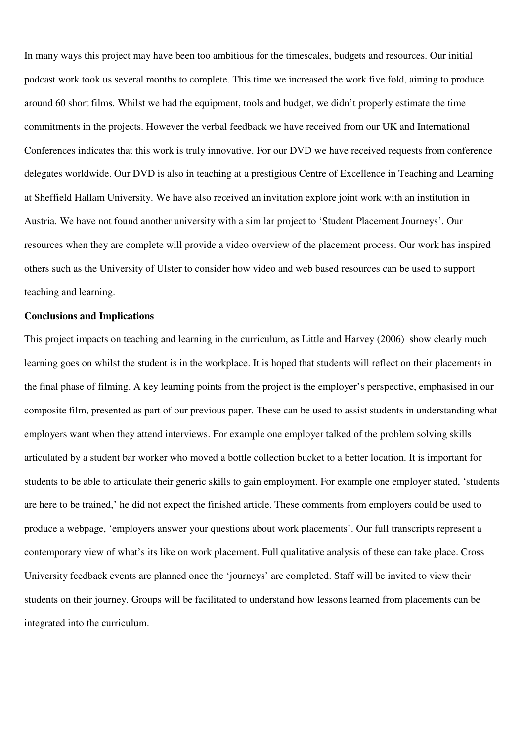In many ways this project may have been too ambitious for the timescales, budgets and resources. Our initial podcast work took us several months to complete. This time we increased the work five fold, aiming to produce around 60 short films. Whilst we had the equipment, tools and budget, we didn't properly estimate the time commitments in the projects. However the verbal feedback we have received from our UK and International Conferences indicates that this work is truly innovative. For our DVD we have received requests from conference delegates worldwide. Our DVD is also in teaching at a prestigious Centre of Excellence in Teaching and Learning at Sheffield Hallam University. We have also received an invitation explore joint work with an institution in Austria. We have not found another university with a similar project to 'Student Placement Journeys'. Our resources when they are complete will provide a video overview of the placement process. Our work has inspired others such as the University of Ulster to consider how video and web based resources can be used to support teaching and learning.

#### **Conclusions and Implications**

This project impacts on teaching and learning in the curriculum, as Little and Harvey (2006) show clearly much learning goes on whilst the student is in the workplace. It is hoped that students will reflect on their placements in the final phase of filming. A key learning points from the project is the employer's perspective, emphasised in our composite film, presented as part of our previous paper. These can be used to assist students in understanding what employers want when they attend interviews. For example one employer talked of the problem solving skills articulated by a student bar worker who moved a bottle collection bucket to a better location. It is important for students to be able to articulate their generic skills to gain employment. For example one employer stated, 'students are here to be trained,' he did not expect the finished article. These comments from employers could be used to produce a webpage, 'employers answer your questions about work placements'. Our full transcripts represent a contemporary view of what's its like on work placement. Full qualitative analysis of these can take place. Cross University feedback events are planned once the 'journeys' are completed. Staff will be invited to view their students on their journey. Groups will be facilitated to understand how lessons learned from placements can be integrated into the curriculum.